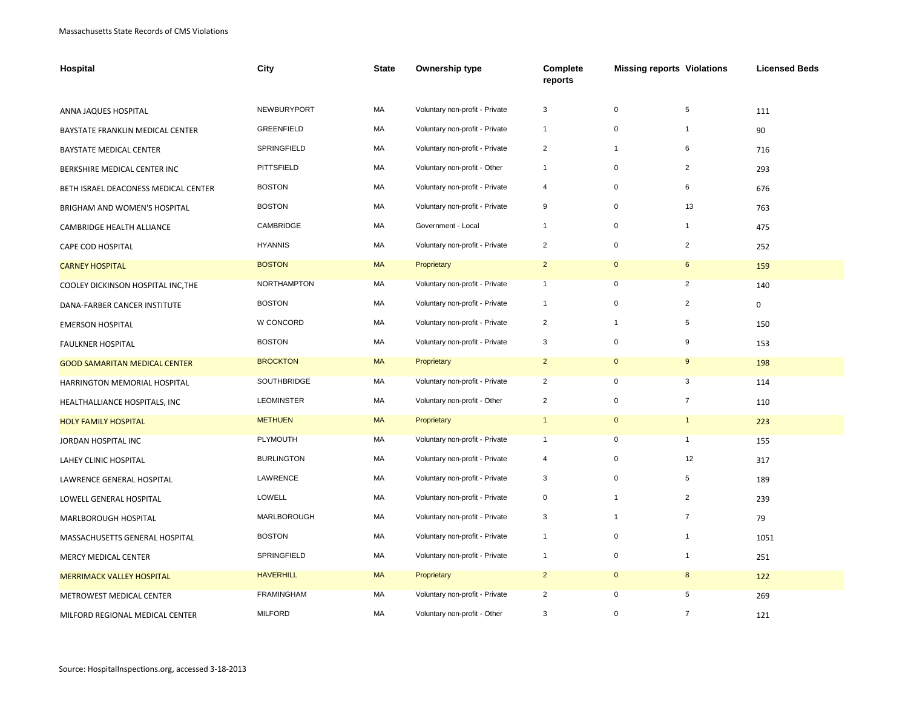| Hospital                             | City               | <b>State</b> | Ownership type                 | Complete<br>reports | <b>Missing reports Violations</b> |                | <b>Licensed Beds</b> |
|--------------------------------------|--------------------|--------------|--------------------------------|---------------------|-----------------------------------|----------------|----------------------|
| ANNA JAQUES HOSPITAL                 | NEWBURYPORT        | MA           | Voluntary non-profit - Private | 3                   | $\pmb{0}$                         | 5              | 111                  |
| BAYSTATE FRANKLIN MEDICAL CENTER     | <b>GREENFIELD</b>  | MA           | Voluntary non-profit - Private | $\mathbf{1}$        | $\pmb{0}$                         | $\overline{1}$ | 90                   |
| BAYSTATE MEDICAL CENTER              | <b>SPRINGFIELD</b> | МA           | Voluntary non-profit - Private | $\overline{2}$      | $\mathbf{1}$                      | 6              | 716                  |
| BERKSHIRE MEDICAL CENTER INC         | PITTSFIELD         | MA           | Voluntary non-profit - Other   | $\mathbf{1}$        | $\pmb{0}$                         | $\overline{2}$ | 293                  |
| BETH ISRAEL DEACONESS MEDICAL CENTER | <b>BOSTON</b>      | МA           | Voluntary non-profit - Private | 4                   | $\pmb{0}$                         | 6              | 676                  |
| BRIGHAM AND WOMEN'S HOSPITAL         | <b>BOSTON</b>      | MA           | Voluntary non-profit - Private | 9                   | $\pmb{0}$                         | 13             | 763                  |
| CAMBRIDGE HEALTH ALLIANCE            | CAMBRIDGE          | MA           | Government - Local             | $\mathbf{1}$        | 0                                 | $\overline{1}$ | 475                  |
|                                      | <b>HYANNIS</b>     | MA           | Voluntary non-profit - Private | $\overline{2}$      | $\mathbf 0$                       | $\overline{2}$ | 252                  |
| CAPE COD HOSPITAL                    | <b>BOSTON</b>      | <b>MA</b>    | Proprietary                    | $\overline{2}$      | $\mathbf 0$                       | 6              |                      |
| <b>CARNEY HOSPITAL</b>               |                    |              |                                |                     |                                   |                | 159                  |
| COOLEY DICKINSON HOSPITAL INC, THE   | NORTHAMPTON        | МA           | Voluntary non-profit - Private | $\mathbf{1}$        | $\pmb{0}$                         | $\overline{2}$ | 140                  |
| DANA-FARBER CANCER INSTITUTE         | <b>BOSTON</b>      | MA           | Voluntary non-profit - Private | $\mathbf{1}$        | $\pmb{0}$                         | $\overline{2}$ | $\mathbf 0$          |
| <b>EMERSON HOSPITAL</b>              | W CONCORD          | MA           | Voluntary non-profit - Private | $\overline{2}$      | $\mathbf{1}$                      | 5              | 150                  |
| <b>FAULKNER HOSPITAL</b>             | <b>BOSTON</b>      | MA           | Voluntary non-profit - Private | 3                   | $\pmb{0}$                         | 9              | 153                  |
| <b>GOOD SAMARITAN MEDICAL CENTER</b> | <b>BROCKTON</b>    | <b>MA</b>    | Proprietary                    | $\overline{2}$      | $\pmb{0}$                         | 9              | 198                  |
| HARRINGTON MEMORIAL HOSPITAL         | <b>SOUTHBRIDGE</b> | MA           | Voluntary non-profit - Private | $\overline{2}$      | $\mathbf 0$                       | 3              | 114                  |
| HEALTHALLIANCE HOSPITALS, INC        | <b>LEOMINSTER</b>  | MA           | Voluntary non-profit - Other   | $\overline{c}$      | $\pmb{0}$                         | $\overline{7}$ | 110                  |
| <b>HOLY FAMILY HOSPITAL</b>          | <b>METHUEN</b>     | <b>MA</b>    | Proprietary                    | $\mathbf{1}$        | $\mathbf 0$                       | $\mathbf{1}$   | 223                  |
| JORDAN HOSPITAL INC                  | PLYMOUTH           | MA           | Voluntary non-profit - Private | $\mathbf{1}$        | $\pmb{0}$                         | $\mathbf{1}$   | 155                  |
| LAHEY CLINIC HOSPITAL                | <b>BURLINGTON</b>  | MA           | Voluntary non-profit - Private | $\overline{4}$      | $\pmb{0}$                         | 12             | 317                  |
| LAWRENCE GENERAL HOSPITAL            | LAWRENCE           | MA           | Voluntary non-profit - Private | 3                   | $\mathbf 0$                       | 5              | 189                  |
| LOWELL GENERAL HOSPITAL              | LOWELL             | MA           | Voluntary non-profit - Private | $\mathbf 0$         | $\mathbf{1}$                      | $\overline{2}$ | 239                  |
| MARLBOROUGH HOSPITAL                 | MARLBOROUGH        | MA           | Voluntary non-profit - Private | 3                   | $\mathbf{1}$                      | $\overline{7}$ | 79                   |
| MASSACHUSETTS GENERAL HOSPITAL       | <b>BOSTON</b>      | MA           | Voluntary non-profit - Private | $\mathbf{1}$        | $\pmb{0}$                         | $\mathbf 1$    | 1051                 |
| MERCY MEDICAL CENTER                 | SPRINGFIELD        | МA           | Voluntary non-profit - Private | $\mathbf{1}$        | 0                                 | $\mathbf 1$    | 251                  |
| <b>MERRIMACK VALLEY HOSPITAL</b>     | <b>HAVERHILL</b>   | <b>MA</b>    | Proprietary                    | $\overline{2}$      | $\mathbf 0$                       | 8              | 122                  |
| METROWEST MEDICAL CENTER             | <b>FRAMINGHAM</b>  | MA           | Voluntary non-profit - Private | $\overline{2}$      | 0                                 | 5              | 269                  |
| MILFORD REGIONAL MEDICAL CENTER      | <b>MILFORD</b>     | MA           | Voluntary non-profit - Other   | 3                   | $\Omega$                          | $\overline{7}$ | 121                  |